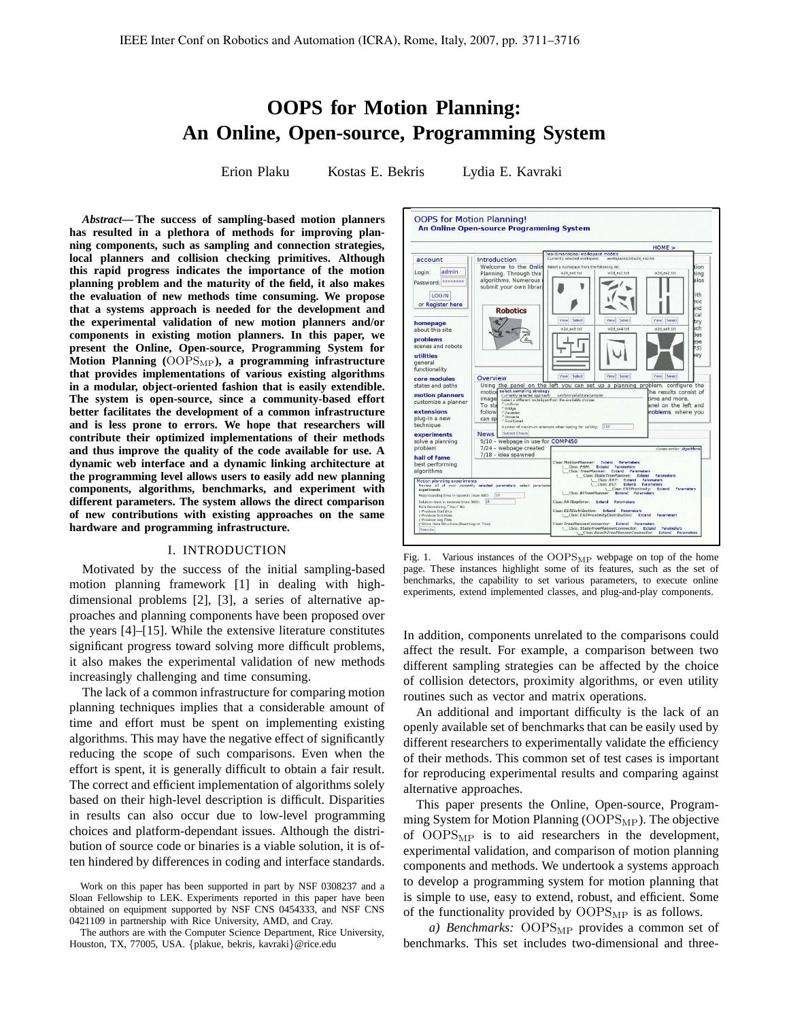# **OOPS for Motion Planning: An Online, Open-source, Programming System**

Erion Plaku Kostas E. Bekris Lydia E. Kavraki

*Abstract***— The success of sampling-based motion planners has resulted in a plethora of methods for improving planning components, such as sampling and connection strategies, local planners and collision checking primitives. Although this rapid progress indicates the importance of the motion planning problem and the maturity of the field, it also makes the evaluation of new methods time consuming. We propose that a systems approach is needed for the development and the experimental validation of new motion planners and/or components in existing motion planners. In this paper, we present the Online, Open-source, Programming System for Motion Planning (**OOPSMP**), a programming infrastructure that provides implementations of various existing algorithms in a modular, object-oriented fashion that is easily extendible. The system is open-source, since a community-based effort better facilitates the development of a common infrastructure and is less prone to errors. We hope that researchers will contribute their optimized implementations of their methods and thus improve the quality of the code available for use. A dynamic web interface and a dynamic linking architecture at the programming level allows users to easily add new planning components, algorithms, benchmarks, and experiment with different parameters. The system allows the direct comparison of new contributions with existing approaches on the same hardware and programming infrastructure.**

#### I. INTRODUCTION

Motivated by the success of the initial sampling-based motion planning framework [1] in dealing with highdimensional problems [2], [3], a series of alternative approaches and planning components have been proposed over the years [4]–[15]. While the extensive literature constitutes significant progress toward solving more difficult problems, it also makes the experimental validation of new methods increasingly challenging and time consuming.

The lack of a common infrastructure for comparing motion planning techniques implies that a considerable amount of time and effort must be spent on implementing existing algorithms. This may have the negative effect of significantly reducing the scope of such comparisons. Even when the effort is spent, it is generally difficult to obtain a fair result. The correct and efficient implementation of algorithms solely based on their high-level description is difficult. Disparities in results can also occur due to low-level programming choices and platform-dependant issues. Although the distribution of source code or binaries is a viable solution, it is often hindered by differences in coding and interface standards.



Fig. 1. Various instances of the  $OOPS<sub>MP</sub>$  webpage on top of the home page. These instances highlight some of its features, such as the set of benchmarks, the capability to set various parameters, to execute online experiments, extend implemented classes, and plug-and-play components.

In addition, components unrelated to the comparisons could affect the result. For example, a comparison between two different sampling strategies can be affected by the choice of collision detectors, proximity algorithms, or even utility routines such as vector and matrix operations.

An additional and important difficulty is the lack of an openly available set of benchmarks that can be easily used by different researchers to experimentally validate the efficiency of their methods. This common set of test cases is important for reproducing experimental results and comparing against alternative approaches.

This paper presents the Online, Open-source, Programming System for Motion Planning  $(OOPS<sub>MP</sub>)$ . The objective of  $OOPS<sub>MP</sub>$  is to aid researchers in the development, experimental validation, and comparison of motion planning components and methods. We undertook a systems approach to develop a programming system for motion planning that is simple to use, easy to extend, robust, and efficient. Some of the functionality provided by  $OOPS<sub>MP</sub>$  is as follows.

*a) Benchmarks:* OOPS<sub>MP</sub> provides a common set of benchmarks. This set includes two-dimensional and three-

Work on this paper has been supported in part by NSF 0308237 and a Sloan Fellowship to LEK. Experiments reported in this paper have been obtained on equipment supported by NSF CNS 0454333, and NSF CNS 0421109 in partnership with Rice University, AMD, and Cray.

The authors are with the Computer Science Department, Rice University, Houston, TX, 77005, USA. {plakue, bekris, kavraki}@rice.edu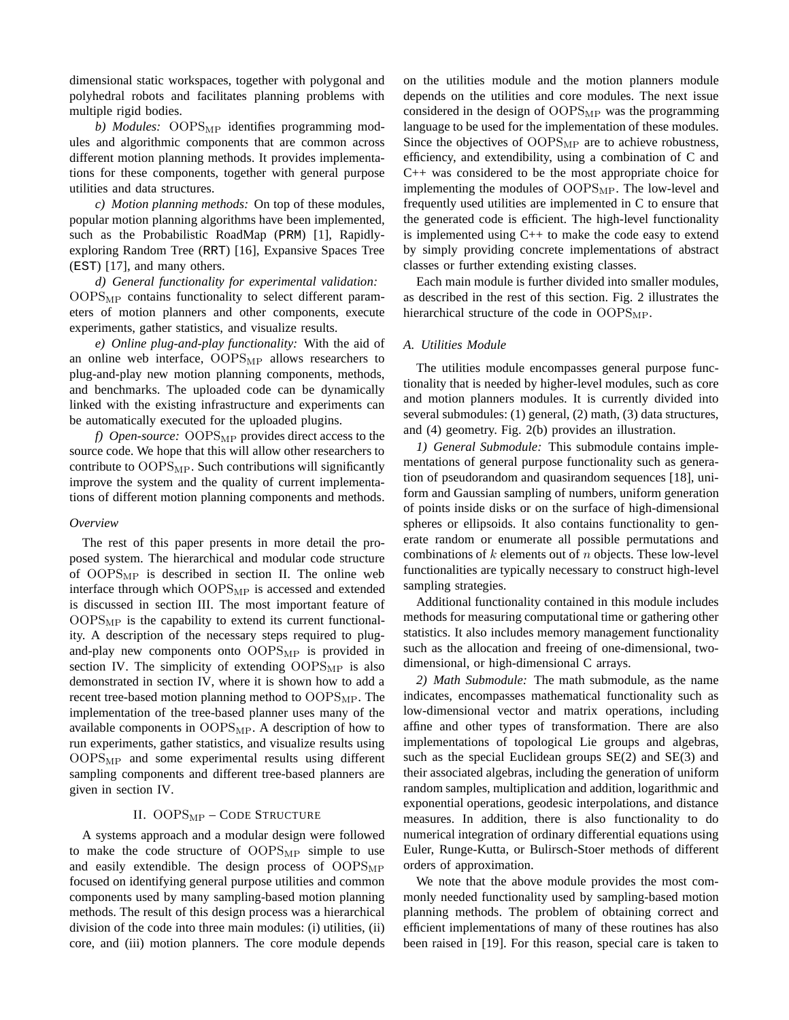dimensional static workspaces, together with polygonal and polyhedral robots and facilitates planning problems with multiple rigid bodies.

b) *Modules:* OOPS<sub>MP</sub> identifies programming modules and algorithmic components that are common across different motion planning methods. It provides implementations for these components, together with general purpose utilities and data structures.

*c) Motion planning methods:* On top of these modules, popular motion planning algorithms have been implemented, such as the Probabilistic RoadMap (PRM) [1], Rapidlyexploring Random Tree (RRT) [16], Expansive Spaces Tree (EST) [17], and many others.

*d) General functionality for experimental validation:* OOPS<sub>MP</sub> contains functionality to select different parameters of motion planners and other components, execute experiments, gather statistics, and visualize results.

*e) Online plug-and-play functionality:* With the aid of an online web interface, OOPS<sub>MP</sub> allows researchers to plug-and-play new motion planning components, methods, and benchmarks. The uploaded code can be dynamically linked with the existing infrastructure and experiments can be automatically executed for the uploaded plugins.

*f) Open-source:* OOPS<sub>MP</sub> provides direct access to the source code. We hope that this will allow other researchers to contribute to  $OOPS<sub>MP</sub>$ . Such contributions will significantly improve the system and the quality of current implementations of different motion planning components and methods.

### *Overview*

The rest of this paper presents in more detail the proposed system. The hierarchical and modular code structure of  $OOPS<sub>MP</sub>$  is described in section II. The online web interface through which  $OOPS<sub>MP</sub>$  is accessed and extended is discussed in section III. The most important feature of  $OOPS<sub>MP</sub>$  is the capability to extend its current functionality. A description of the necessary steps required to plugand-play new components onto  $OOPS<sub>MP</sub>$  is provided in section IV. The simplicity of extending  $OOPS<sub>MP</sub>$  is also demonstrated in section IV, where it is shown how to add a recent tree-based motion planning method to  $OOPS<sub>MP</sub>$ . The implementation of the tree-based planner uses many of the available components in OOPS<sub>MP</sub>. A description of how to run experiments, gather statistics, and visualize results using  $OOPS<sub>MP</sub>$  and some experimental results using different sampling components and different tree-based planners are given in section IV.

# II. OOPS<sub>MP</sub> - CODE STRUCTURE

A systems approach and a modular design were followed to make the code structure of  $OOPS<sub>MP</sub>$  simple to use and easily extendible. The design process of  $OOPS<sub>MP</sub>$ focused on identifying general purpose utilities and common components used by many sampling-based motion planning methods. The result of this design process was a hierarchical division of the code into three main modules: (i) utilities, (ii) core, and (iii) motion planners. The core module depends on the utilities module and the motion planners module depends on the utilities and core modules. The next issue considered in the design of  $OOPS<sub>MP</sub>$  was the programming language to be used for the implementation of these modules. Since the objectives of  $OOPS<sub>MP</sub>$  are to achieve robustness, efficiency, and extendibility, using a combination of C and C++ was considered to be the most appropriate choice for implementing the modules of  $OOPS<sub>MP</sub>$ . The low-level and frequently used utilities are implemented in C to ensure that the generated code is efficient. The high-level functionality is implemented using  $C++$  to make the code easy to extend by simply providing concrete implementations of abstract classes or further extending existing classes.

Each main module is further divided into smaller modules, as described in the rest of this section. Fig. 2 illustrates the hierarchical structure of the code in  $OOPS<sub>MP</sub>$ .

# *A. Utilities Module*

The utilities module encompasses general purpose functionality that is needed by higher-level modules, such as core and motion planners modules. It is currently divided into several submodules: (1) general, (2) math, (3) data structures, and (4) geometry. Fig. 2(b) provides an illustration.

*1) General Submodule:* This submodule contains implementations of general purpose functionality such as generation of pseudorandom and quasirandom sequences [18], uniform and Gaussian sampling of numbers, uniform generation of points inside disks or on the surface of high-dimensional spheres or ellipsoids. It also contains functionality to generate random or enumerate all possible permutations and combinations of  $k$  elements out of  $n$  objects. These low-level functionalities are typically necessary to construct high-level sampling strategies.

Additional functionality contained in this module includes methods for measuring computational time or gathering other statistics. It also includes memory management functionality such as the allocation and freeing of one-dimensional, twodimensional, or high-dimensional C arrays.

*2) Math Submodule:* The math submodule, as the name indicates, encompasses mathematical functionality such as low-dimensional vector and matrix operations, including affine and other types of transformation. There are also implementations of topological Lie groups and algebras, such as the special Euclidean groups  $SE(2)$  and  $SE(3)$  and their associated algebras, including the generation of uniform random samples, multiplication and addition, logarithmic and exponential operations, geodesic interpolations, and distance measures. In addition, there is also functionality to do numerical integration of ordinary differential equations using Euler, Runge-Kutta, or Bulirsch-Stoer methods of different orders of approximation.

We note that the above module provides the most commonly needed functionality used by sampling-based motion planning methods. The problem of obtaining correct and efficient implementations of many of these routines has also been raised in [19]. For this reason, special care is taken to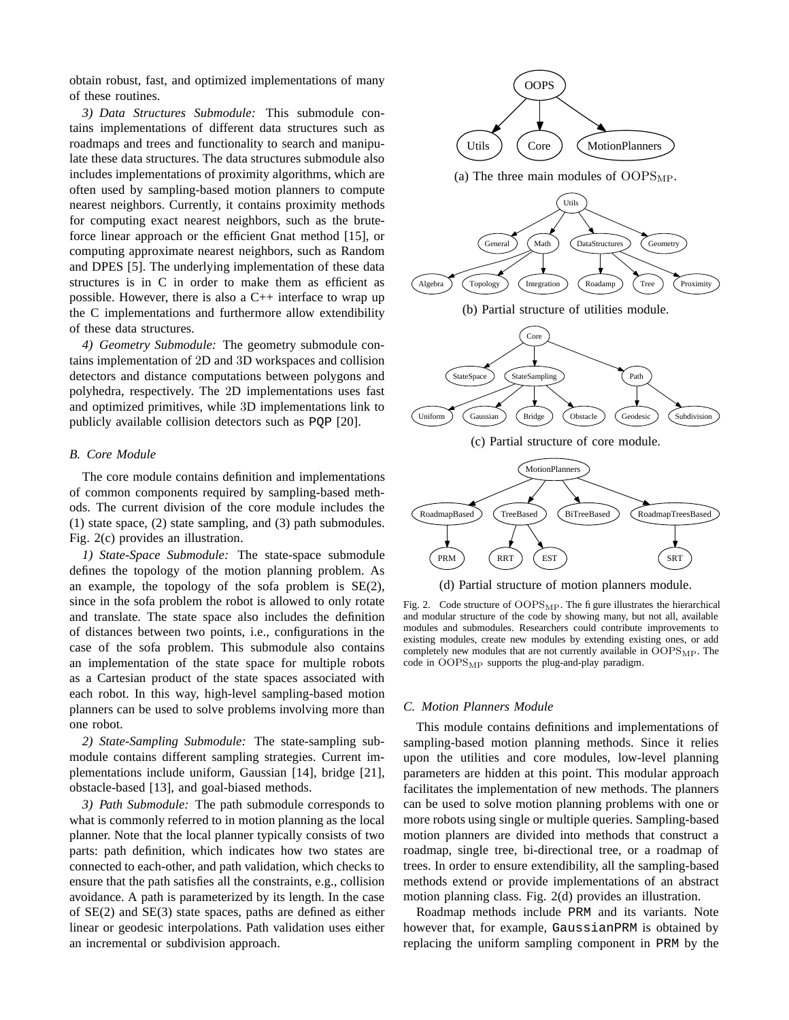obtain robust, fast, and optimized implementations of many of these routines.

*3) Data Structures Submodule:* This submodule contains implementations of different data structures such as roadmaps and trees and functionality to search and manipulate these data structures. The data structures submodule also includes implementations of proximity algorithms, which are often used by sampling-based motion planners to compute nearest neighbors. Currently, it contains proximity methods for computing exact nearest neighbors, such as the bruteforce linear approach or the efficient Gnat method [15], or computing approximate nearest neighbors, such as Random and DPES [5]. The underlying implementation of these data structures is in C in order to make them as efficient as possible. However, there is also a C++ interface to wrap up the C implementations and furthermore allow extendibility of these data structures.

*4) Geometry Submodule:* The geometry submodule contains implementation of 2D and 3D workspaces and collision detectors and distance computations between polygons and polyhedra, respectively. The 2D implementations uses fast and optimized primitives, while 3D implementations link to publicly available collision detectors such as PQP [20].

#### *B. Core Module*

The core module contains definition and implementations of common components required by sampling-based methods. The current division of the core module includes the (1) state space, (2) state sampling, and (3) path submodules. Fig. 2(c) provides an illustration.

*1) State-Space Submodule:* The state-space submodule defines the topology of the motion planning problem. As an example, the topology of the sofa problem is SE(2), since in the sofa problem the robot is allowed to only rotate and translate. The state space also includes the definition of distances between two points, i.e., configurations in the case of the sofa problem. This submodule also contains an implementation of the state space for multiple robots as a Cartesian product of the state spaces associated with each robot. In this way, high-level sampling-based motion planners can be used to solve problems involving more than one robot.

*2) State-Sampling Submodule:* The state-sampling submodule contains different sampling strategies. Current implementations include uniform, Gaussian [14], bridge [21], obstacle-based [13], and goal-biased methods.

*3) Path Submodule:* The path submodule corresponds to what is commonly referred to in motion planning as the local planner. Note that the local planner typically consists of two parts: path definition, which indicates how two states are connected to each-other, and path validation, which checks to ensure that the path satisfies all the constraints, e.g., collision avoidance. A path is parameterized by its length. In the case of SE(2) and SE(3) state spaces, paths are defined as either linear or geodesic interpolations. Path validation uses either an incremental or subdivision approach.



Fig. 2. Code structure of OOPS<sub>MP</sub>. The figure illustrates the hierarchical and modular structure of the code by showing many, but not all, available modules and submodules. Researchers could contribute improvements to existing modules, create new modules by extending existing ones, or add completely new modules that are not currently available in  $OOPS<sub>MP</sub>$ . The code in OOPSMP supports the plug-and-play paradigm.

#### *C. Motion Planners Module*

This module contains definitions and implementations of sampling-based motion planning methods. Since it relies upon the utilities and core modules, low-level planning parameters are hidden at this point. This modular approach facilitates the implementation of new methods. The planners can be used to solve motion planning problems with one or more robots using single or multiple queries. Sampling-based motion planners are divided into methods that construct a roadmap, single tree, bi-directional tree, or a roadmap of trees. In order to ensure extendibility, all the sampling-based methods extend or provide implementations of an abstract motion planning class. Fig. 2(d) provides an illustration.

Roadmap methods include PRM and its variants. Note however that, for example, GaussianPRM is obtained by replacing the uniform sampling component in PRM by the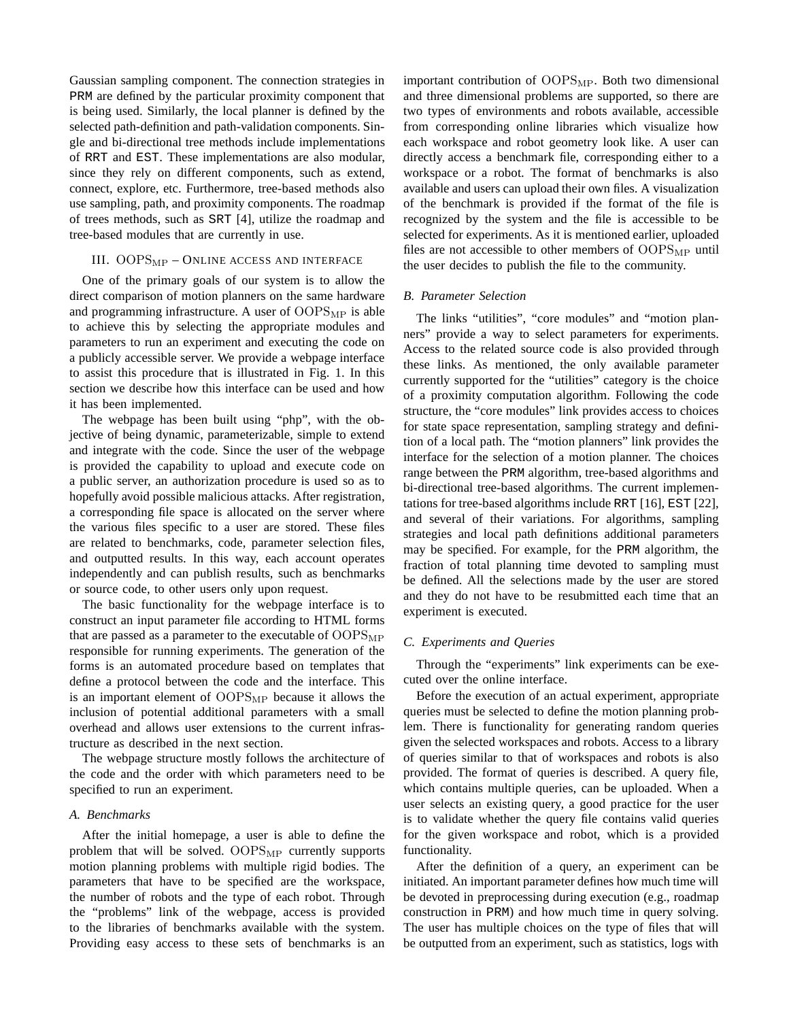Gaussian sampling component. The connection strategies in PRM are defined by the particular proximity component that is being used. Similarly, the local planner is defined by the selected path-definition and path-validation components. Single and bi-directional tree methods include implementations of RRT and EST. These implementations are also modular, since they rely on different components, such as extend, connect, explore, etc. Furthermore, tree-based methods also use sampling, path, and proximity components. The roadmap of trees methods, such as SRT [4], utilize the roadmap and tree-based modules that are currently in use.

## III. OOPSMP – ONLINE ACCESS AND INTERFACE

One of the primary goals of our system is to allow the direct comparison of motion planners on the same hardware and programming infrastructure. A user of  $OOPS<sub>MP</sub>$  is able to achieve this by selecting the appropriate modules and parameters to run an experiment and executing the code on a publicly accessible server. We provide a webpage interface to assist this procedure that is illustrated in Fig. 1. In this section we describe how this interface can be used and how it has been implemented.

The webpage has been built using "php", with the objective of being dynamic, parameterizable, simple to extend and integrate with the code. Since the user of the webpage is provided the capability to upload and execute code on a public server, an authorization procedure is used so as to hopefully avoid possible malicious attacks. After registration, a corresponding file space is allocated on the server where the various files specific to a user are stored. These files are related to benchmarks, code, parameter selection files, and outputted results. In this way, each account operates independently and can publish results, such as benchmarks or source code, to other users only upon request.

The basic functionality for the webpage interface is to construct an input parameter file according to HTML forms that are passed as a parameter to the executable of  $OOPS<sub>MP</sub>$ responsible for running experiments. The generation of the forms is an automated procedure based on templates that define a protocol between the code and the interface. This is an important element of  $OOPS<sub>MP</sub>$  because it allows the inclusion of potential additional parameters with a small overhead and allows user extensions to the current infrastructure as described in the next section.

The webpage structure mostly follows the architecture of the code and the order with which parameters need to be specified to run an experiment.

#### *A. Benchmarks*

After the initial homepage, a user is able to define the problem that will be solved.  $OOPS<sub>MP</sub>$  currently supports motion planning problems with multiple rigid bodies. The parameters that have to be specified are the workspace, the number of robots and the type of each robot. Through the "problems" link of the webpage, access is provided to the libraries of benchmarks available with the system. Providing easy access to these sets of benchmarks is an

important contribution of  $OOPS<sub>MP</sub>$ . Both two dimensional and three dimensional problems are supported, so there are two types of environments and robots available, accessible from corresponding online libraries which visualize how each workspace and robot geometry look like. A user can directly access a benchmark file, corresponding either to a workspace or a robot. The format of benchmarks is also available and users can upload their own files. A visualization of the benchmark is provided if the format of the file is recognized by the system and the file is accessible to be selected for experiments. As it is mentioned earlier, uploaded files are not accessible to other members of  $OOPS<sub>MP</sub>$  until the user decides to publish the file to the community.

### *B. Parameter Selection*

The links "utilities", "core modules" and "motion planners" provide a way to select parameters for experiments. Access to the related source code is also provided through these links. As mentioned, the only available parameter currently supported for the "utilities" category is the choice of a proximity computation algorithm. Following the code structure, the "core modules" link provides access to choices for state space representation, sampling strategy and definition of a local path. The "motion planners" link provides the interface for the selection of a motion planner. The choices range between the PRM algorithm, tree-based algorithms and bi-directional tree-based algorithms. The current implementations for tree-based algorithms include RRT [16], EST [22], and several of their variations. For algorithms, sampling strategies and local path definitions additional parameters may be specified. For example, for the PRM algorithm, the fraction of total planning time devoted to sampling must be defined. All the selections made by the user are stored and they do not have to be resubmitted each time that an experiment is executed.

#### *C. Experiments and Queries*

Through the "experiments" link experiments can be executed over the online interface.

Before the execution of an actual experiment, appropriate queries must be selected to define the motion planning problem. There is functionality for generating random queries given the selected workspaces and robots. Access to a library of queries similar to that of workspaces and robots is also provided. The format of queries is described. A query file, which contains multiple queries, can be uploaded. When a user selects an existing query, a good practice for the user is to validate whether the query file contains valid queries for the given workspace and robot, which is a provided functionality.

After the definition of a query, an experiment can be initiated. An important parameter defines how much time will be devoted in preprocessing during execution (e.g., roadmap construction in PRM) and how much time in query solving. The user has multiple choices on the type of files that will be outputted from an experiment, such as statistics, logs with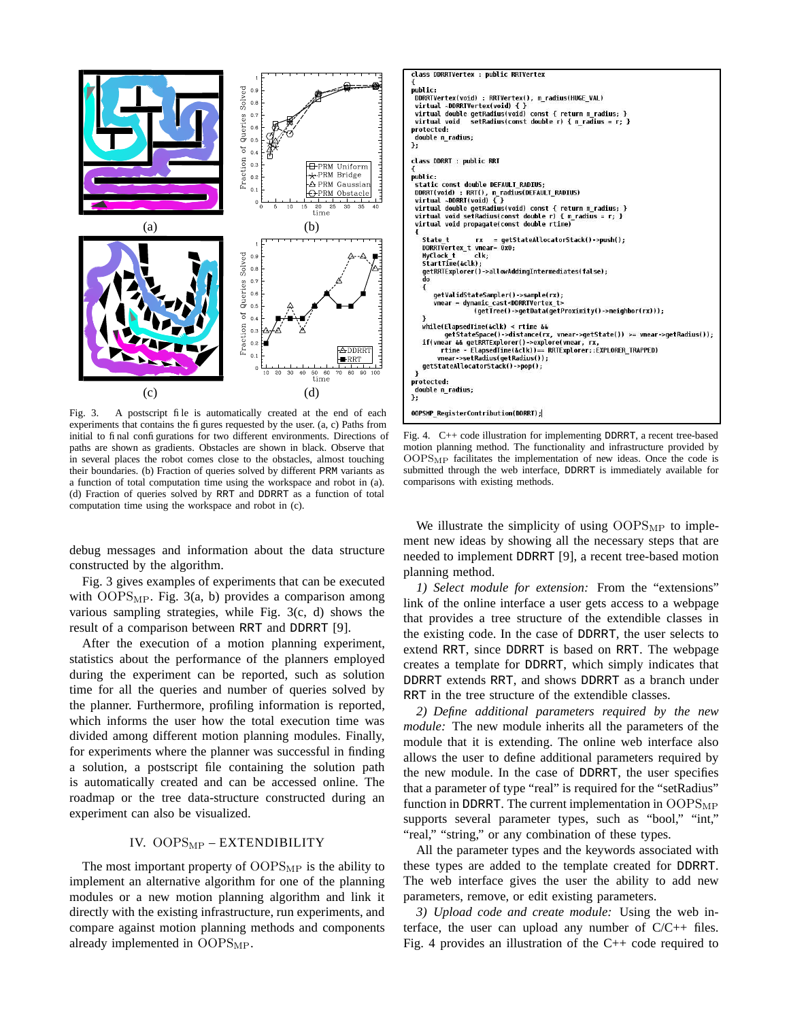

Fig. 3. A postscript file is automatically created at the end of each experiments that contains the figures requested by the user. (a, c) Paths from initial to final configurations for two different environments. Directions of paths are shown as gradients. Obstacles are shown in black. Observe that in several places the robot comes close to the obstacles, almost touching their boundaries. (b) Fraction of queries solved by different PRM variants as a function of total computation time using the workspace and robot in (a). (d) Fraction of queries solved by RRT and DDRRT as a function of total computation time using the workspace and robot in (c).

debug messages and information about the data structure constructed by the algorithm.

Fig. 3 gives examples of experiments that can be executed with  $OOPS<sub>MP</sub>$ . Fig. 3(a, b) provides a comparison among various sampling strategies, while Fig. 3(c, d) shows the result of a comparison between RRT and DDRRT [9].

After the execution of a motion planning experiment, statistics about the performance of the planners employed during the experiment can be reported, such as solution time for all the queries and number of queries solved by the planner. Furthermore, profiling information is reported, which informs the user how the total execution time was divided among different motion planning modules. Finally, for experiments where the planner was successful in finding a solution, a postscript file containing the solution path is automatically created and can be accessed online. The roadmap or the tree data-structure constructed during an experiment can also be visualized.

# IV. OOPS<sub>MP</sub> - EXTENDIBILITY

The most important property of  $OOPS<sub>MP</sub>$  is the ability to implement an alternative algorithm for one of the planning modules or a new motion planning algorithm and link it directly with the existing infrastructure, run experiments, and compare against motion planning methods and components already implemented in OOPS<sub>MP</sub>.



Fig. 4. C++ code illustration for implementing DDRRT, a recent tree-based motion planning method. The functionality and infrastructure provided by  $OOPS_{MP}$  facilitates the implementation of new ideas. Once the code is submitted through the web interface, DDRRT is immediately available for comparisons with existing methods.

We illustrate the simplicity of using  $OOPS<sub>MP</sub>$  to implement new ideas by showing all the necessary steps that are needed to implement DDRRT [9], a recent tree-based motion planning method.

*1) Select module for extension:* From the "extensions" link of the online interface a user gets access to a webpage that provides a tree structure of the extendible classes in the existing code. In the case of DDRRT, the user selects to extend RRT, since DDRRT is based on RRT. The webpage creates a template for DDRRT, which simply indicates that DDRRT extends RRT, and shows DDRRT as a branch under RRT in the tree structure of the extendible classes.

*2) Define additional parameters required by the new module:* The new module inherits all the parameters of the module that it is extending. The online web interface also allows the user to define additional parameters required by the new module. In the case of DDRRT, the user specifies that a parameter of type "real" is required for the "setRadius" function in DDRRT. The current implementation in  $OOPS<sub>MP</sub>$ supports several parameter types, such as "bool," "int," "real," "string," or any combination of these types.

All the parameter types and the keywords associated with these types are added to the template created for DDRRT. The web interface gives the user the ability to add new parameters, remove, or edit existing parameters.

*3) Upload code and create module:* Using the web interface, the user can upload any number of  $C/C++$  files. Fig. 4 provides an illustration of the C++ code required to